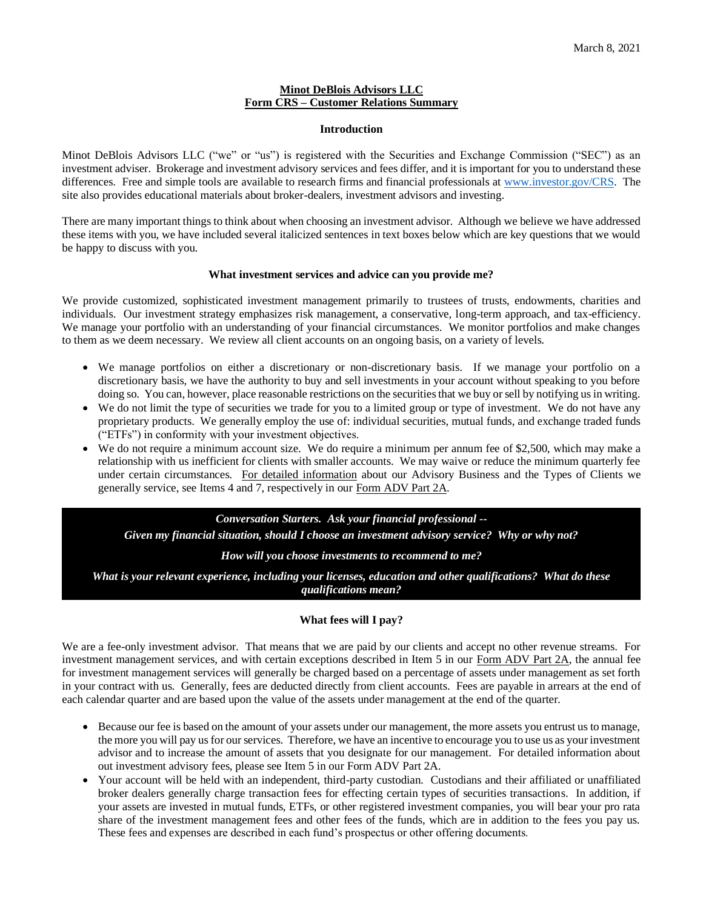#### **Minot DeBlois Advisors LLC Form CRS – Customer Relations Summary**

#### **Introduction**

Minot DeBlois Advisors LLC ("we" or "us") is registered with the Securities and Exchange Commission ("SEC") as an investment adviser. Brokerage and investment advisory services and fees differ, and it is important for you to understand these differences. Free and simple tools are available to research firms and financial professionals at [www.investor.gov/CRS.](http://www.investor.gov/CRS) The site also provides educational materials about broker-dealers, investment advisors and investing.

There are many important things to think about when choosing an investment advisor. Although we believe we have addressed these items with you, we have included several italicized sentences in text boxes below which are key questions that we would be happy to discuss with you.

#### **What investment services and advice can you provide me?**

We provide customized, sophisticated investment management primarily to trustees of trusts, endowments, charities and individuals. Our investment strategy emphasizes risk management, a conservative, long-term approach, and tax-efficiency. We manage your portfolio with an understanding of your financial circumstances. We monitor portfolios and make changes to them as we deem necessary. We review all client accounts on an ongoing basis, on a variety of levels.

- We manage portfolios on either a discretionary or non-discretionary basis. If we manage your portfolio on a discretionary basis, we have the authority to buy and sell investments in your account without speaking to you before doing so. You can, however, place reasonable restrictions on the securities that we buy or sell by notifying us in writing.
- We do not limit the type of securities we trade for you to a limited group or type of investment. We do not have any proprietary products. We generally employ the use of: individual securities, mutual funds, and exchange traded funds ("ETFs") in conformity with your investment objectives.
- We do not require a minimum account size. We do require a minimum per annum fee of \$2,500, which may make a relationship with us inefficient for clients with smaller accounts. We may waive or reduce the minimum quarterly fee under certain circumstances. For detailed information about our Advisory Business and the Types of Clients we generally service, see Items 4 and 7, respectively in our Form ADV Part 2A.

## *Conversation Starters. Ask your financial professional --*

*Given my financial situation, should I choose an investment advisory service? Why or why not?*

#### *How will you choose investments to recommend to me?*

*What is your relevant experience, including your licenses, education and other qualifications? What do these qualifications mean?*

## **What fees will I pay?**

We are a fee-only investment advisor. That means that we are paid by our clients and accept no other revenue streams. For investment management services, and with certain exceptions described in Item 5 in our Form ADV Part 2A, the annual fee for investment management services will generally be charged based on a percentage of assets under management as set forth in your contract with us. Generally, fees are deducted directly from client accounts. Fees are payable in arrears at the end of each calendar quarter and are based upon the value of the assets under management at the end of the quarter.

- Because our fee is based on the amount of your assets under our management, the more assets you entrust us to manage, the more you will pay us for our services. Therefore, we have an incentive to encourage you to use us as your investment advisor and to increase the amount of assets that you designate for our management. For detailed information about out investment advisory fees, please see Item 5 in our Form ADV Part 2A.
- Your account will be held with an independent, third-party custodian. Custodians and their affiliated or unaffiliated broker dealers generally charge transaction fees for effecting certain types of securities transactions. In addition, if your assets are invested in mutual funds, ETFs, or other registered investment companies, you will bear your pro rata share of the investment management fees and other fees of the funds, which are in addition to the fees you pay us. These fees and expenses are described in each fund's prospectus or other offering documents.